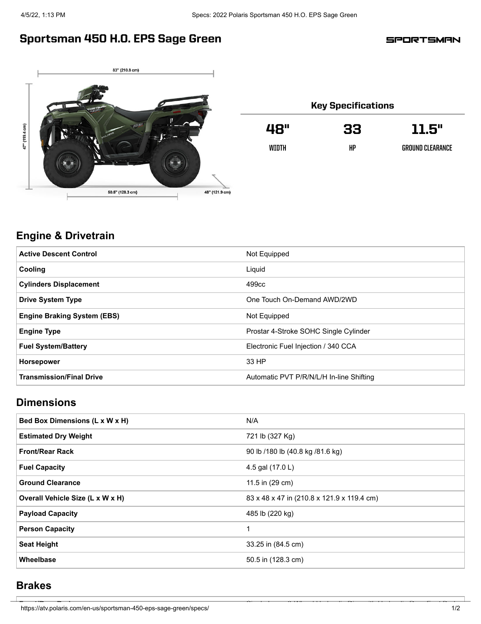## Sportsman 450 H.O. EPS Sage Green

**SPORTSMAN** 



| <b>Key Specifications</b> |    |                  |  |
|---------------------------|----|------------------|--|
| 48"                       | 33 | 11.5"            |  |
| WTNTH                     | HP | GROUND CLEARANCE |  |

### **Engine & Drivetrain**

| <b>Active Descent Control</b>      | Not Equipped                             |
|------------------------------------|------------------------------------------|
| Cooling                            | Liquid                                   |
| <b>Cylinders Displacement</b>      | 499cc                                    |
| <b>Drive System Type</b>           | One Touch On-Demand AWD/2WD              |
| <b>Engine Braking System (EBS)</b> | Not Equipped                             |
| <b>Engine Type</b>                 | Prostar 4-Stroke SOHC Single Cylinder    |
| <b>Fuel System/Battery</b>         | Electronic Fuel Injection / 340 CCA      |
| <b>Horsepower</b>                  | 33 HP                                    |
| <b>Transmission/Final Drive</b>    | Automatic PVT P/R/N/L/H In-line Shifting |

## **Dimensions**

| Bed Box Dimensions (L x W x H)   | N/A                                        |
|----------------------------------|--------------------------------------------|
| <b>Estimated Dry Weight</b>      | 721 lb (327 Kg)                            |
| <b>Front/Rear Rack</b>           | 90 lb /180 lb (40.8 kg /81.6 kg)           |
| <b>Fuel Capacity</b>             | 4.5 gal (17.0 L)                           |
| <b>Ground Clearance</b>          | 11.5 in (29 cm)                            |
| Overall Vehicle Size (L x W x H) | 83 x 48 x 47 in (210.8 x 121.9 x 119.4 cm) |
| <b>Payload Capacity</b>          | 485 lb (220 kg)                            |
| <b>Person Capacity</b>           | 1                                          |
| <b>Seat Height</b>               | 33.25 in (84.5 cm)                         |
| Wheelbase                        | 50.5 in (128.3 cm)                         |

#### **Brakes**